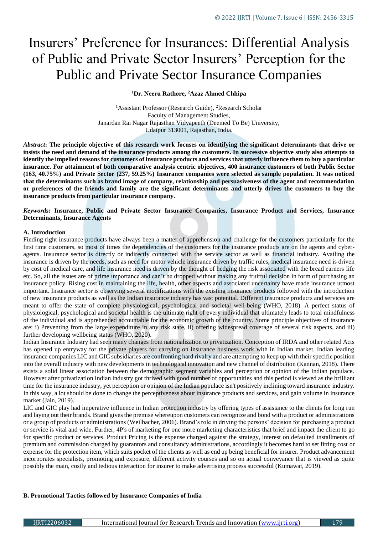# Insurers' Preference for Insurances: Differential Analysis of Public and Private Sector Insurers' Perception for the Public and Private Sector Insurance Companies

# **<sup>1</sup>Dr. Neeru Rathore, <sup>2</sup>Azaz Ahmed Chhipa**

<sup>1</sup>Assistant Professor (Research Guide), <sup>2</sup>Research Scholar Faculty of Management Studies, Janardan Rai Nagar Rajasthan Vidyapeeth (Deemed To Be) University, Udaipur 313001, Rajasthan, India.

*Abstract***: The principle objective of this research work focuses on identifying the significant determinants that drive or insists the need and demand of the insurance products among the customers. In successive objective study also attempts to identify the impelled reasons for customers of insurance products and services that utterly influence them to buy a particular insurance. For attainment of both comparative analysis centric objectives, 400 insurance customers of both Public Sector (163, 40.75%) and Private Sector (237, 59.25%) Insurance companies were selected as sample population. It was noticed that the determinants such as brand image of company, relationship and persuasiveness of the agent and recommendation or preferences of the friends and family are the significant determinants and utterly drives the customers to buy the insurance products from particular insurance company.** 

# *Keywords***: Insurance, Public and Private Sector Insurance Companies, Insurance Product and Services, Insurance Determinants, Insurance Agents**

#### **A. Introduction**

Finding right insurance products have always been a matter of apprehension and challenge for the customers particularly for the first time customers, so most of times the dependencies of the customers for the insurance products are on the agents and cyberagents. Insurance sector is directly or indirectly connected with the service sector as well as financial industry. Availing the insurance is driven by the needs, such as need for motor vehicle insurance driven by traffic rules, medical insurance need is driven by cost of medical care, and life insurance need is driven by the thought of hedging the risk associated with the bread earners life etc. So, all the issues are of prime importance and can't be dropped without making any fruitful decision in form of purchasing an insurance policy. Rising cost in maintaining the life, health, other aspects and associated uncertainty have made insurance utmost important. Insurance sector is observing several modifications with the existing insurance products followed with the introduction of new insurance products as well as the Indian insurance industry has vast potential. Different insurance products and services are meant to offer the state of complete physiological, psychological and societal well-being (WHO, 2018). A perfect status of physiological, psychological and societal health is the ultimate right of every individual that ultimately leads to total mindfulness of the individual and is apprehended accountable for the economic growth of the country. Some principle objectives of insurance are: i) Preventing from the large expenditure in any risk state, ii) offering widespread coverage of several risk aspects, and iii) further developing wellbeing status (WHO, 2020).

Indian Insurance Industry had seen many changes from nationalization to privatization. Conception of IRDA and other related Acts has opened up entryway for the private players for carrying on insurance business work with in Indian market. Indian leading insurance companies LIC and GIC subsidiaries are confronting hard rivalry and are attempting to keep up with their specific position into the overall industry with new developments in technological innovation and new channel of distribution (Kannan, 2018). There exists a solid linear association between the demographic segment variables and perception or opinion of the Indian populace. However after privatization Indian industry got thrived with good number of opportunities and this period is viewed as the brilliant time for the insurance industry, yet perception or opinion of the Indian populace isn't positively inclining toward insurance industry. In this way, a lot should be done to change the perceptiveness about insurance products and services, and gain volume in insurance market (Jain, 2019).

LIC and GIC play had imperative influence in Indian protection industry by offering types of assistance to the clients for long run and laying out their brands. Brand gives the premise whereupon customers can recognize and bond with a product or administrations or a group of products or administrations (Weilbacher, 2006). Brand's role in driving the persons' decision for purchasing a product or service is vital and wide. Further, 4P's of marketing for one more marketing characteristics that brief and impact the client to go for specific product or services. Product Pricing is the expense charged against the strategy, interest on defaulted installments of premium and commission charged by guarantors and consultancy administrations, accordingly it becomes hard to set fitting cost or expense for the protection item, which suits pocket of the clients as well as end up being beneficial for insurer. Product advancement incorporates specialists, promoting and exposure, different activity courses and so on actual conveyance that is viewed as quite possibly the main, costly and tedious interaction for insurer to make advertising process successful (Kumawat, 2019).

#### **B. Promotional Tactics followed by Insurance Companies of India**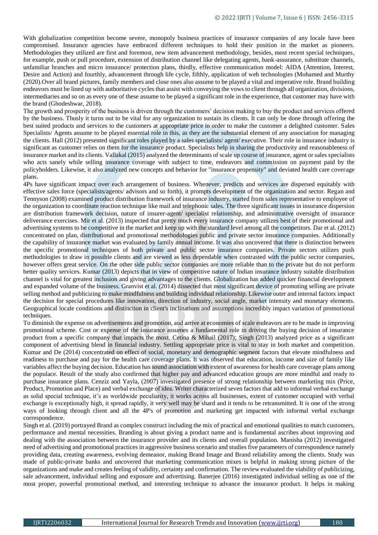With globalization competition become severe, monopoly business practices of insurance companies of any locale have been compromised. Insurance agencies have embraced different techniques to hold their position in the market as pioneers. Methodologies they utilized are first and foremost, new item advancement methodology, besides, most recent special techniques, for example, push or pull procedure, extension of distribution channel like delegating agents, bank-assurance, substitute channels, unfamiliar branches and micro insurance/ protection plans, thirdly, effective communication model: AIDA (Attention, Interest, Desire and Action) and fourthly, advancement through life cycle, fifthly, application of web technologies (Mohamed and Murthy (2020).Over all brand pictures, family members and close ones also assume to be played a vital and imperative role. Brand building endeavors must be lined up with authoritative cycles that assist with conveying the vows to client through all organization, divisions, intermediaries and so on as every one of these assume to be played a significant role in the experience, that customer may have with the brand (Ghodeshwar, 2018).

The growth and prosperity of the business is driven through the customers' decision making to buy the product and services offered by the business. Thusly it turns out to be vital for any organization to sustain its clients. It can only be done through offering the best suited products and services to the customers at appropriate price in order to make the customer a delighted customer. Sales Specialists/ Agents assume to be played essential role in this, as they are the substantial element of any association for managing the clients. Hall (2012) presented significant roles played by a sales specialists/ agent/ executive. Their role in insurance industry is significant as customer relies on them for the insurance product. Specialists help in sharing the productivity and reasonableness of insurance market and its clients. Vallakal (2015) analyzed the determinants of scale up course of insurance, agent or sales specialists who acts sanely while selling insurance coverage with subject to time, endeavors and commission on payment paid by the policyholders. Likewise, it also analyzed new concepts and behavior for "insurance propensity" and deviated health care coverage plans.

4Ps have significant impact over each arrangement of business. Whenever, predicts and services are dispersed equitably with effective sales force (specialists/agents/ advisors and so forth), it prompts development of the organization and sector. Regan and Tennyson (2008) examined product distribution framework of insurance industry, started from sales representative to employee of the organization to coordinate reaction technique like mail and telephonic sales. The three significant issues in insurance dispersion are distribution framework decision, nature of insurer-agent/ specialist relationship, and administrative oversight of insurance deliverance exercises. Mir et al. (2013) inspected that pretty much every insurance company utilizes best of their promotional and advertising systems to be competitive in the market and keep up with the standard level among all the competitors. Dar et al. (2012) concentrated on plan, distributional and promotional methodologies public and private sector insurance companies. Additionally the capability of insurance market was evaluated by family annual income. It was also uncovered that there is distinction between the specific promotional techniques of both private and public sector insurance companies. Private sectors utilizes push methodologies to draw in possible clients and are viewed as less dependable when contrasted with the public sector companies, however offers great service. On the other side public sector companies are more reliable than to the private but do not perform better quality services. Kumar (2013) depicts that in view of competitive nature of Indian insurance industry suitable distribution channel is vital for greatest inclusion and giving advantages to the clients. Globalization has added quicker financial development and expanded volume of the business. Granvist et al. (2014) dissected that most significant device of promoting selling are private selling method and publicizing to make mindfulness and building individual relationship. Likewise outer and internal factors impact the decision for special procedures like innovation, direction of industry, social angle, market intensity and monetary elements. Geographical locale conditions and distinction in client's inclinations and assumptions incredibly impact variation of promotional techniques.

To diminish the expense on advertisements and promotion, and arrive at economies of scale endeavors are to be made in improving promotional scheme. Cost or expense of the insurance assumes a fundamental role in driving the buying decision of insurance product from a specific company that impacts the most. Cetina & Mihail (2017); Singh (2013) analyzed price as a significant component of advertising blend in financial industry. Settling appropriate price is vital to stay in both market and competition. Kumar and De (2014) concentrated on effect of social, monetary and demographic segment factors that elevate mindfulness and readiness to purchase and pay for the health care coverage plans. It was observed that education, income and size of family like variables affect the buying decision. Education has sound association with extent of awareness for health care coverage plans among the populace. Result of the study also confirmed that higher pay and advanced education groups are more mindful and ready to purchase insurance plans. Cenziz and Yayla, (2007) investigated presence of strong relationship between marketing mix (Price, Product, Promotion and Place) and verbal exchange of idea. Writer characterized seven factors that add to informal verbal exchange as solid special technique, it's as worldwide peculiarity, it works across all businesses, extent of customer occupied with verbal exchange is exceptionally high, it spread rapidly, it very well may be shard and it tends to be retransmitted. It is one of the strong ways of looking through client and all the 4P's of promotion and marketing get impacted with informal verbal exchange correspondence.

Singh et al. (2019) portrayed Brand as complex construct including the mix of practical and emotional qualities to match customers, performance and mental necessities. Branding is about giving a product name and is fundamental ascribes about improving and dealing with the association between the insurance provider and its clients and overall population. Manisha (2012) investigated need of advertising and promotional practices in aggressive business scenario and studies five parameters of correspondence namely providing data, creating awareness, evolving demeanor, making Brand Image and Brand reliability among the clients. Study was made of public-private banks and uncovered that marketing communication mixes is helpful in making strong picture of the organizations and make and creates feeling of validity, certainty and confirmation. The review evaluated the viability of publicizing, sale advancement, individual selling and exposure and advertising. Banerjee (2016) investigated individual selling as one of the most proper, powerful promotional method, and interesting technique to advance the insurance product. It helps in making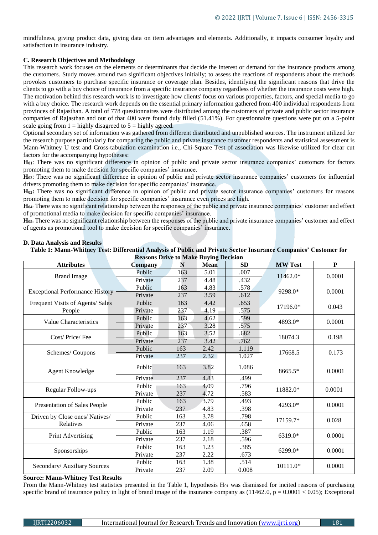mindfulness, giving product data, giving data on item advantages and elements. Additionally, it impacts consumer loyalty and satisfaction in insurance industry.

## **C. Research Objectives and Methodology**

This research work focuses on the elements or determinants that decide the interest or demand for the insurance products among the customers. Study moves around two significant objectives initially; to assess the reactions of respondents about the methods provokes customers to purchase specific insurance or coverage plan. Besides, identifying the significant reasons that drive the clients to go with a buy choice of insurance from a specific insurance company regardless of whether the insurance costs were high. The motivation behind this research work is to investigate how clients' focus on various properties, factors, and special media to go with a buy choice. The research work depends on the essential primary information gathered from 400 individual respondents from provinces of Rajasthan. A total of 778 questionnaires were distributed among the customers of private and public sector insurance companies of Rajasthan and out of that 400 were found duly filled (51.41%). For questionnaire questions were put on a 5-point scale going from  $1 =$  highly disagreed to  $5 =$  highly agreed.

Optional secondary set of information was gathered from different distributed and unpublished sources. The instrument utilized for the research purpose particularly for comparing the public and private insurance customer respondents and statistical assessment is Mann-Whitney U test and Cross-tabulation examination i.e., Chi-Square Test of association was likewise utilized for clear cut factors for the accompanying hypotheses:

**H01**: There was no significant difference in opinion of public and private sector insurance companies' customers for factors promoting them to make decision for specific companies' insurance.

**H02**: There was no significant difference in opinion of public and private sector insurance companies' customers for influential drivers promoting them to make decision for specific companies' insurance.

**H03:** There was no significant difference in opinion of public and private sector insurance companies' customers for reasons promoting them to make decision for specific companies' insurance even prices are high.

**H04:** There was no significant relationship between the responses of the public and private insurance companies' customer and effect of promotional media to make decision for specific companies' insurance.

**H05:** There was no significant relationship between the responses of the public and private insurance companies' customer and effect of agents as promotional tool to make decision for specific companies' insurance.

| Reasons Drive to Make Buying Decision  |                |     |             |           |                |        |  |  |
|----------------------------------------|----------------|-----|-------------|-----------|----------------|--------|--|--|
| <b>Attributes</b>                      | <b>Company</b> | N   | <b>Mean</b> | <b>SD</b> | <b>MW</b> Test | P      |  |  |
| <b>Brand Image</b>                     | Public         | 163 | 5.01        | .007      |                | 0.0001 |  |  |
|                                        | Private        | 237 | 4.48        | .432      | 11462.0*       |        |  |  |
|                                        | Public         | 163 | 4.83        | .578      | 9298.0*        | 0.0001 |  |  |
| <b>Exceptional Performance History</b> | Private        | 237 | 3.59        | .612      |                |        |  |  |
| Frequent Visits of Agents/ Sales       | Public         | 163 | 4.42        | .653      | 17196.0*       | 0.043  |  |  |
| People                                 | Private        | 237 | 4.19        | .575      |                |        |  |  |
| Value Characteristics                  | Public         | 163 | 4.62        | .599      | 4893.0*        | 0.0001 |  |  |
|                                        | Private        | 237 | 3.28        | .575      |                |        |  |  |
| Cost/Price/Fee                         | Public         | 163 | 3.52        | .682      | 18074.3        | 0.198  |  |  |
|                                        | Private        | 237 | 3.42        | .762      |                |        |  |  |
|                                        | Public         | 163 | 2.42        | 1.119     | 17668.5        | 0.173  |  |  |
| Schemes/Coupons                        | Private        | 237 | 2.32        | 1.027     |                |        |  |  |
| Agent Knowledge                        | Public         | 163 | 3.82        | 1.086     | 8665.5*        | 0.0001 |  |  |
|                                        | Private        | 237 | 4.83        | .499      |                |        |  |  |
|                                        | Public         | 163 | 4.09        | .796      | 11882.0*       | 0.0001 |  |  |
| <b>Regular Follow-ups</b>              | Private        | 237 | 4.72        | .583      |                |        |  |  |
|                                        | Public         | 163 | 3.79        | .493      | 4293.0*        | 0.0001 |  |  |
| Presentation of Sales People           | Private        | 237 | 4.83        | .398      |                |        |  |  |
| Driven by Close ones/ Natives/         | Public         | 163 | 3.78        | .798      | 17159.7*       | 0.028  |  |  |
| Relatives                              | Private        | 237 | 4.06        | .658      |                |        |  |  |
|                                        | Public         | 163 | 1.19        | .387      | 6319.0*        | 0.0001 |  |  |
| Print Advertising                      | Private        | 237 | 2.18        | .596      |                |        |  |  |
|                                        | Public         | 163 | 1.23        | .385      | 6299.0*        | 0.0001 |  |  |
| Sponsorships                           | Private        | 237 | 2.22        | .673      |                |        |  |  |
|                                        | Public         | 163 | 1.38        | .514      | 10111.0*       | 0.0001 |  |  |
| Secondary/ Auxiliary Sources           | Private        | 237 | 2.09        | 0.008     |                |        |  |  |
|                                        |                |     |             |           |                |        |  |  |

#### **D. Data Analysis and Results**

**Table 1: Mann-Whitney Test: Differential Analysis of Public and Private Sector Insurance Companies' Customer for Reasons Drive to Make Buying Decision**

**Source: Mann-Whitney Test Results** 

From the Mann-Whitney test statistics presented in the Table 1, hypothesis  $H_{01}$  was dismissed for incited reasons of purchasing specific brand of insurance policy in light of brand image of the insurance company as  $(11462.0, p = 0.0001 < 0.05)$ ; Exceptional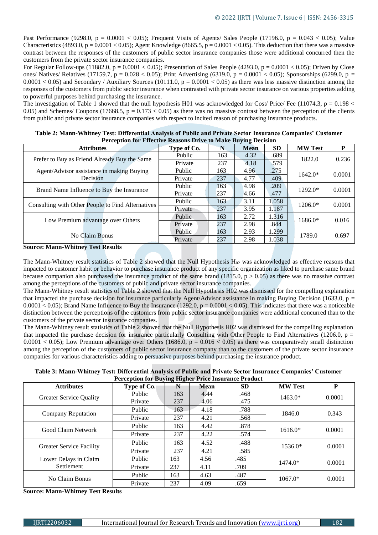Past Performance (9298.0,  $p = 0.0001 < 0.05$ ); Frequent Visits of Agents/ Sales People (17196.0,  $p = 0.043 < 0.05$ ); Value Characteristics (4893.0,  $p = 0.0001 < 0.05$ ); Agent Knowledge (8665.5,  $p = 0.0001 < 0.05$ ). This deduction that there was a massive contrast between the responses of the customers of public sector insurance companies those were additional concurred then the customers from the private sector insurance companies.

For Regular Follow-ups (11882.0,  $p = 0.0001 < 0.05$ ); Presentation of Sales People (4293.0,  $p = 0.0001 < 0.05$ ); Driven by Close ones/ Natives/ Relatives (17159.7, p = 0.028 < 0.05); Print Advertising (6319.0, p = 0.0001 < 0.05); Sponsorships (6299.0, p =  $0.0001 < 0.05$ ) and Secondary / Auxiliary Sources (10111.0,  $p = 0.0001 < 0.05$ ) as there was less massive distinction among the responses of the customers from public sector insurance when contrasted with private sector insurance on various properties adding to powerful purposes behind purchasing the insurance.

The investigation of Table 1 showed that the null hypothesis H01 was acknowledged for Cost/ Price/ Fee (11074.3,  $p = 0.198 <$ 0.05) and Schemes/ Coupons (17668.5,  $p = 0.173 < 0.05$ ) as there was no massive contrast between the perception of the clients from public and private sector insurance companies with respect to incited reason of purchasing insurance products.

| <b>Attributes</b>                                 | Type of Co. | N   | <b>Mean</b> | SD.   | <b>MW Test</b> | P      |
|---------------------------------------------------|-------------|-----|-------------|-------|----------------|--------|
| Prefer to Buy as Friend Already Buy the Same      | Public      | 163 | 4.32        | .689  | 1822.0         | 0.236  |
|                                                   | Private     | 237 | 4.18        | .579  |                |        |
| Agent/Advisor assistance in making Buying         | Public      | 163 | 4.96        | .275  | $1642.0*$      | 0.0001 |
| Decision                                          | Private     | 237 | 4.77        | .409  |                |        |
| Brand Name Influence to Buy the Insurance         | Public      | 163 | 4.98        | .209  | $1292.0*$      | 0.0001 |
|                                                   | Private     | 237 | 4.66        | .477  |                |        |
| Consulting with Other People to Find Alternatives | Public      | 163 | 3.11        | 1.058 | $1206.0*$      | 0.0001 |
|                                                   | Private     | 237 | 3.95        | 1.187 |                |        |
| Low Premium advantage over Others                 | Public      | 163 | 2.72        | 1.316 | 1686.0*        | 0.016  |
|                                                   | Private     | 237 | 2.98        | .844  |                |        |
| No Claim Bonus                                    | Public      | 163 | 2.93        | 1.299 | 1789.0         | 0.697  |
|                                                   | Private     | 237 | 2.98        | 1.038 |                |        |

| Table 2: Mann-Whitney Test: Differential Analysis of Public and Private Sector Insurance Companies' Customer |                                                                       |  |
|--------------------------------------------------------------------------------------------------------------|-----------------------------------------------------------------------|--|
|                                                                                                              | <b>Perception for Effective Reasons Drive to Make Buying Decision</b> |  |

# **Source: Mann-Whitney Test Results**

The Mann-Whitney result statistics of Table 2 showed that the Null Hypothesis  $H_{02}$  was acknowledged as effective reasons that impacted to customer habit or behavior to purchase insurance product of any specific organization as liked to purchase same brand because companion also purchased the insurance product of the same brand (1815.0,  $p > 0.05$ ) as there was no massive contrast among the perceptions of the customers of public and private sector insurance companies.

The Mann-Whitney result statistics of Table 2 showed that the Null Hypothesis H02 was dismissed for the compelling explanation that impacted the purchase decision for insurance particularly Agent/Advisor assistance in making Buying Decision (1633.0, p =  $0.0001 < 0.05$ ; Brand Name Influence to Buy the Insurance (1292.0,  $p = 0.0001 < 0.05$ ). This indicates that there was a noticeable distinction between the perceptions of the customers from public sector insurance companies were additional concurred than to the customers of the private sector insurance companies.

The Mann-Whitney result statistics of Table 2 showed that the Null Hypothesis H02 was dismissed for the compelling explanation that impacted the purchase decision for insurance particularly Consulting with Other People to Find Alternatives (1206.0,  $p =$ 0.0001 < 0.05); Low Premium advantage over Others (1686.0,  $p = 0.016 < 0.05$ ) as there was comparatively small distinction among the perception of the customers of public sector insurance company than to the customers of the private sector insurance companies for various characteristics adding to persuasive purposes behind purchasing the insurance product.

**Table 3: Mann-Whitney Test: Differential Analysis of Public and Private Sector Insurance Companies' Customer Perception for Buying Higher Price Insurance Product** 

| I creeption for Duying Ingher Trice mourance I router |             |     |             |           |                |        |
|-------------------------------------------------------|-------------|-----|-------------|-----------|----------------|--------|
| <b>Attributes</b>                                     | Type of Co. | N   | <b>Mean</b> | <b>SD</b> | <b>MW Test</b> | P      |
|                                                       | Public      | 163 | 4.44        | .468      | $1463.0*$      | 0.0001 |
| <b>Greater Service Quality</b>                        | Private     | 237 | 4.06        | .475      |                |        |
| <b>Company Reputation</b>                             | Public      | 163 | 4.18        | .788      | 1846.0         | 0.343  |
|                                                       | Private     | 237 | 4.21        | .568      |                |        |
| Good Claim Network                                    | Public      | 163 | 4.42        | .878      | $1616.0*$      | 0.0001 |
|                                                       | Private     | 237 | 4.22        | .574      |                |        |
| <b>Greater Service Facility</b>                       | Public      | 163 | 4.52        | .488      | 1536.0*        | 0.0001 |
|                                                       | Private     | 237 | 4.21        | .585      |                |        |
| Lower Delays in Claim                                 | Public      | 163 | 4.56        | .485      | $1474.0*$      | 0.0001 |
| Settlement                                            | Private     | 237 | 4.11        | .709      |                |        |
| No Claim Bonus                                        | Public      | 163 | 4.63        | .487      | $1067.0*$      | 0.0001 |
|                                                       | Private     | 237 | 4.09        | .659      |                |        |

**Source: Mann-Whitney Test Results**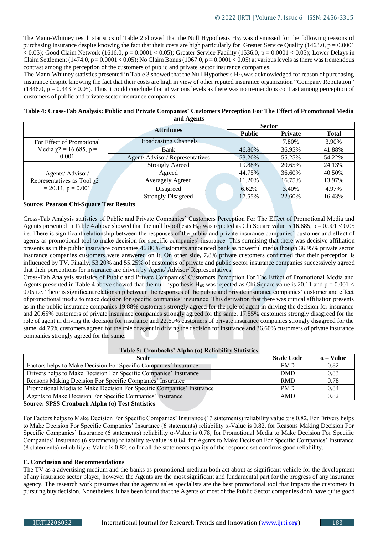The Mann-Whitney result statistics of Table 2 showed that the Null Hypothesis  $H_{03}$  was dismissed for the following reasons of purchasing insurance despite knowing the fact that their costs are high particularly for Greater Service Quality (1463.0,  $p = 0.0001$ )  $< 0.05$ ); Good Claim Network (1616.0, p = 0.0001  $< 0.05$ ); Greater Service Facility (1536.0, p = 0.0001  $< 0.05$ ); Lower Delays in Claim Settlement (1474.0,  $p = 0.0001 < 0.05$ ); No Claim Bonus (1067.0,  $p = 0.0001 < 0.05$ ) at various levels as there was tremendous contrast among the perception of the customers of public and private sector insurance companies.

The Mann-Whitney statistics presented in Table 3 showed that the Null Hypothesis  $H_{03}$  was acknowledged for reason of purchasing insurance despite knowing the fact that their costs are high in view of other reputed insurance organization "Company Reputation"  $(1846.0, p = 0.343 > 0.05)$ . Thus it could conclude that at various levels as there was no tremendous contrast among perception of customers of public and private sector insurance companies.

| Table 4: Cross-Tab Analysis: Public and Private Companies' Customers Perception For The Effect of Promotional Media |
|---------------------------------------------------------------------------------------------------------------------|
| and Agents                                                                                                          |

|                                                               | <b>Attributes</b>             | <b>Sector</b> |                |              |
|---------------------------------------------------------------|-------------------------------|---------------|----------------|--------------|
|                                                               |                               | <b>Public</b> | <b>Private</b> | <b>Total</b> |
| For Effect of Promotional                                     | <b>Broadcasting Channels</b>  |               | 7.80%          | 3.90%        |
| Media $\chi$ 2 = 16.685, p =                                  | Bank                          | 46.80%        | 36.95%         | 41.88%       |
| 0.001                                                         | Agent/Advisor/Representatives | 53.20%        | 55.25%         | 54.22%       |
|                                                               | <b>Strongly Agreed</b>        | 19.88%        | 20.65%         | 24.13%       |
| Agents/Advisor/                                               | Agreed                        | 44.75%        | 36.60%         | 40.50%       |
| Representatives as Tool $\chi$ 2 =<br>$= 20.11$ , $p = 0.001$ | <b>Averagely Agreed</b>       | 11.20%        | 16.75%         | 13.97%       |
|                                                               | Disagreed                     | 6.62%         | 3.40%          | 4.97%        |
|                                                               | <b>Strongly Disagreed</b>     | 17.55%        | 22.60%         | 16.43%       |

### **Source: Pearson Chi-Square Test Results**

Cross-Tab Analysis statistics of Public and Private Companies' Customers Perception For The Effect of Promotional Media and Agents presented in Table 4 above showed that the null hypothesis H<sub>04</sub> was rejected as Chi Square value is 16.685, p = 0.001 < 0.05 i.e. There is significant relationship between the responses of the public and private insurance companies' customer and effect of agents as promotional tool to make decision for specific companies' insurance. This surmising that there was decisive affiliation presents as in the public insurance companies 46.80% customers announced bank as powerful media though 36.95% private sector insurance companies customers were answered on it. On other side, 7.8% private customers confirmed that their perception is influenced by TV. Finally, 53.20% and 55.25% of customers of private and public sector insurance companies successively agreed that their perceptions for insurance are driven by Agent/ Advisor/ Representatives.

Cross-Tab Analysis statistics of Public and Private Companies' Customers Perception For The Effect of Promotional Media and Agents presented in Table 4 above showed that the null hypothesis  $H_{05}$  was rejected as Chi Square value is 20.11 and p = 0.001 < 0.05 i.e. There is significant relationship between the responses of the public and private insurance companies' customer and effect of promotional media to make decision for specific companies' insurance. This derivation that there was critical affiliation presents as in the public insurance companies 19.88% customers strongly agreed for the role of agent in driving the decision for insurance and 20.65% customers of private insurance companies strongly agreed for the same. 17.55% customers strongly disagreed for the role of agent in driving the decision for insurance and 22.60% customers of private insurance companies strongly disagreed for the same. 44.75% customers agreed for the role of agent in driving the decision for insurance and 36.60% customers of private insurance companies strongly agreed for the same.

| Table 5: Cronbachs' Alpha $\alpha$ ) Reliability Statistics          |                   |                  |  |  |  |  |
|----------------------------------------------------------------------|-------------------|------------------|--|--|--|--|
| <b>Scale</b>                                                         | <b>Scale Code</b> | $\alpha$ – Value |  |  |  |  |
| Factors helps to Make Decision For Specific Companies' Insurance     | <b>FMD</b>        | 0.82             |  |  |  |  |
| Drivers helps to Make Decision For Specific Companies' Insurance     | <b>DMD</b>        | 0.83             |  |  |  |  |
| Reasons Making Decision For Specific Companies' Insurance            | <b>RMD</b>        | 0.78             |  |  |  |  |
| Promotional Media to Make Decision For Specific Companies' Insurance | <b>PMD</b>        | 0.84             |  |  |  |  |
| Agents to Make Decision For Specific Companies' Insurance            | <b>AMD</b>        | 0.82             |  |  |  |  |
| <b>Source: SPSS Cronbach Alpha (a) Test Statistics</b>               |                   |                  |  |  |  |  |

**Source: SPSS Cronbach Alpha (α) Test Statistics** 

For Factors helps to Make Decision For Specific Companies' Insurance (13 statements) reliability value α is 0.82, For Drivers helps to Make Decision For Specific Companies' Insurance (6 statements) reliability α-Value is 0.82, for Reasons Making Decision For Specific Companies' Insurance (6 statements) reliability α-Value is 0.78, for Promotional Media to Make Decision For Specific Companies' Insurance (6 statements) reliability α-Value is 0.84, for Agents to Make Decision For Specific Companies' Insurance (8 statements) reliability α-Value is 0.82, so for all the statements quality of the response set confirms good reliability.

# **E. Conclusion and Recommendations**

The TV as a advertising medium and the banks as promotional medium both act about as significant vehicle for the development of any insurance sector player, however the Agents are the most significant and fundamental part for the progress of any insurance agency. The research work presumes that the agents/ sales specialists are the best promotional tool that impacts the customers in pursuing buy decision. Nonetheless, it has been found that the Agents of most of the Public Sector companies don't have quite good